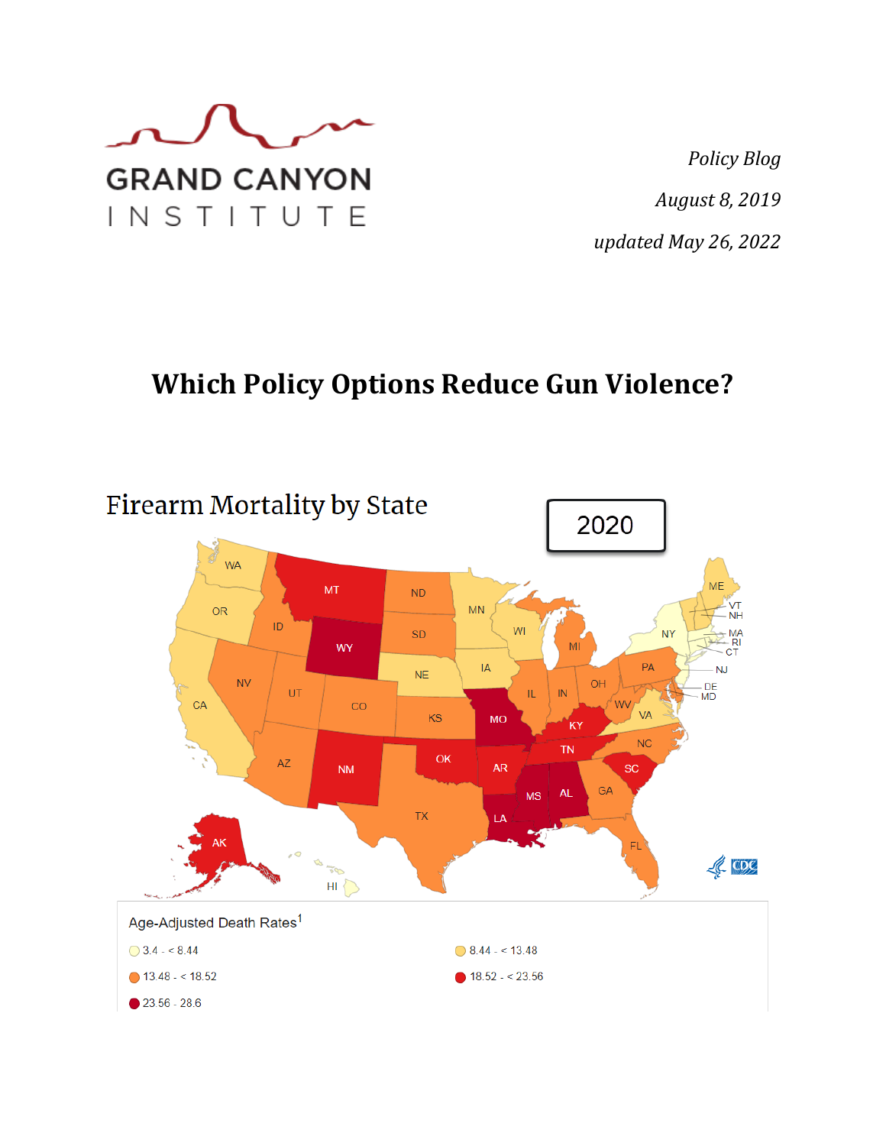

*Policy Blog August 8, 2019 updated May 26, 2022*

# **Which Policy Options Reduce Gun Violence?**

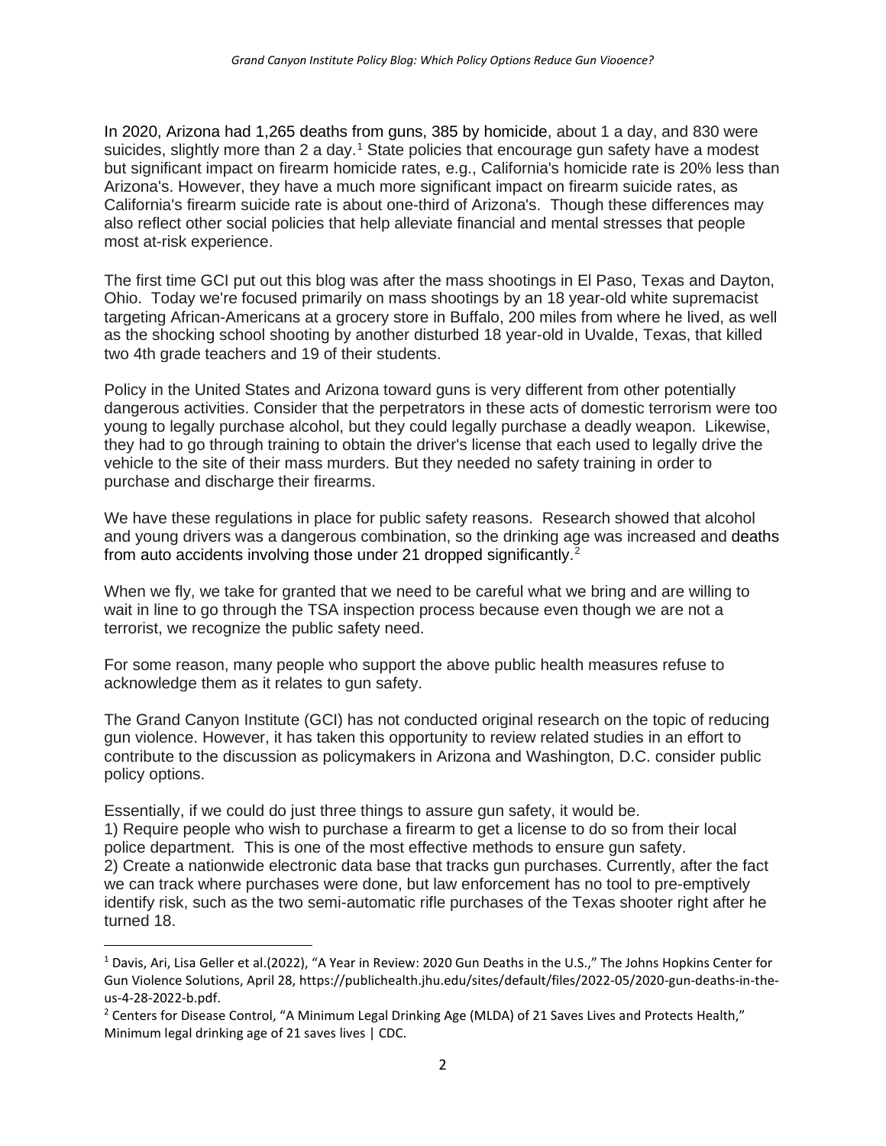[In 2020, Arizona had 1,265 deaths from guns, 385 by homicide, about 1 a day, and 830 were](https://publichealth.jhu.edu/sites/default/files/2022-05/2020-gun-deaths-in-the-us-4-28-2022-b.pdf)  suicides, slightly more than 2 a day.<sup>[1](#page-1-0)</sup> State policies that encourage gun safety have a modest but significant impact on firearm homicide rates, e.g., California's homicide rate is 20% less than Arizona's. However, they have a much more significant impact on firearm suicide rates, as California's firearm suicide rate is about one-third of Arizona's. Though these differences may also reflect other social policies that help alleviate financial and mental stresses that people most at-risk experience.

The first time GCI put out this blog was after the mass shootings in El Paso, Texas and Dayton, Ohio. Today we're focused primarily on mass shootings by an 18 year-old white supremacist targeting African-Americans at a grocery store in Buffalo, 200 miles from where he lived, as well as the shocking school shooting by another disturbed 18 year-old in Uvalde, Texas, that killed two 4th grade teachers and 19 of their students.

Policy in the United States and Arizona toward guns is very different from other potentially dangerous activities. Consider that the perpetrators in these acts of domestic terrorism were too young to legally purchase alcohol, but they could legally purchase a deadly weapon. Likewise, they had to go through training to obtain the driver's license that each used to legally drive the vehicle to the site of their mass murders. But they needed no safety training in order to purchase and discharge their firearms.

We have these regulations in place for public safety reasons. Research showed that alcohol and young drivers was a dangerous combination, so the drinking age was increased and [deaths](https://www.cdc.gov/alcohol/fact-sheets/minimum-legal-drinking-age.htm)  [from auto accidents involving those under 21 dropped significantly.](https://www.cdc.gov/alcohol/fact-sheets/minimum-legal-drinking-age.htm)<sup>[2](#page-1-1)</sup>

When we fly, we take for granted that we need to be careful what we bring and are willing to wait in line to go through the TSA inspection process because even though we are not a terrorist, we recognize the public safety need.

For some reason, many people who support the above public health measures refuse to acknowledge them as it relates to gun safety.

The Grand Canyon Institute (GCI) has not conducted original research on the topic of reducing gun violence. However, it has taken this opportunity to review related studies in an effort to contribute to the discussion as policymakers in Arizona and Washington, D.C. consider public policy options.

Essentially, if we could do just three things to assure gun safety, it would be. 1) Require people who wish to purchase a firearm to get a license to do so from their local police department. This is one of the most effective methods to ensure gun safety. 2) Create a nationwide electronic data base that tracks gun purchases. Currently, after the fact we can track where purchases were done, but law enforcement has no tool to pre-emptively identify risk, such as the two semi-automatic rifle purchases of the Texas shooter right after he turned 18.

<span id="page-1-0"></span><sup>&</sup>lt;sup>1</sup> Davis, Ari, Lisa Geller et al.(2022), "A Year in Review: 2020 Gun Deaths in the U.S.," The Johns Hopkins Center for Gun Violence Solutions, April 28, https://publichealth.jhu.edu/sites/default/files/2022-05/2020-gun-deaths-in-theus-4-28-2022-b.pdf.

<span id="page-1-1"></span><sup>&</sup>lt;sup>2</sup> Centers for Disease Control, "A Minimum Legal Drinking Age (MLDA) of 21 Saves Lives and Protects Health," [Minimum legal drinking age of 21 saves lives | CDC.](https://www.cdc.gov/alcohol/fact-sheets/minimum-legal-drinking-age.htm)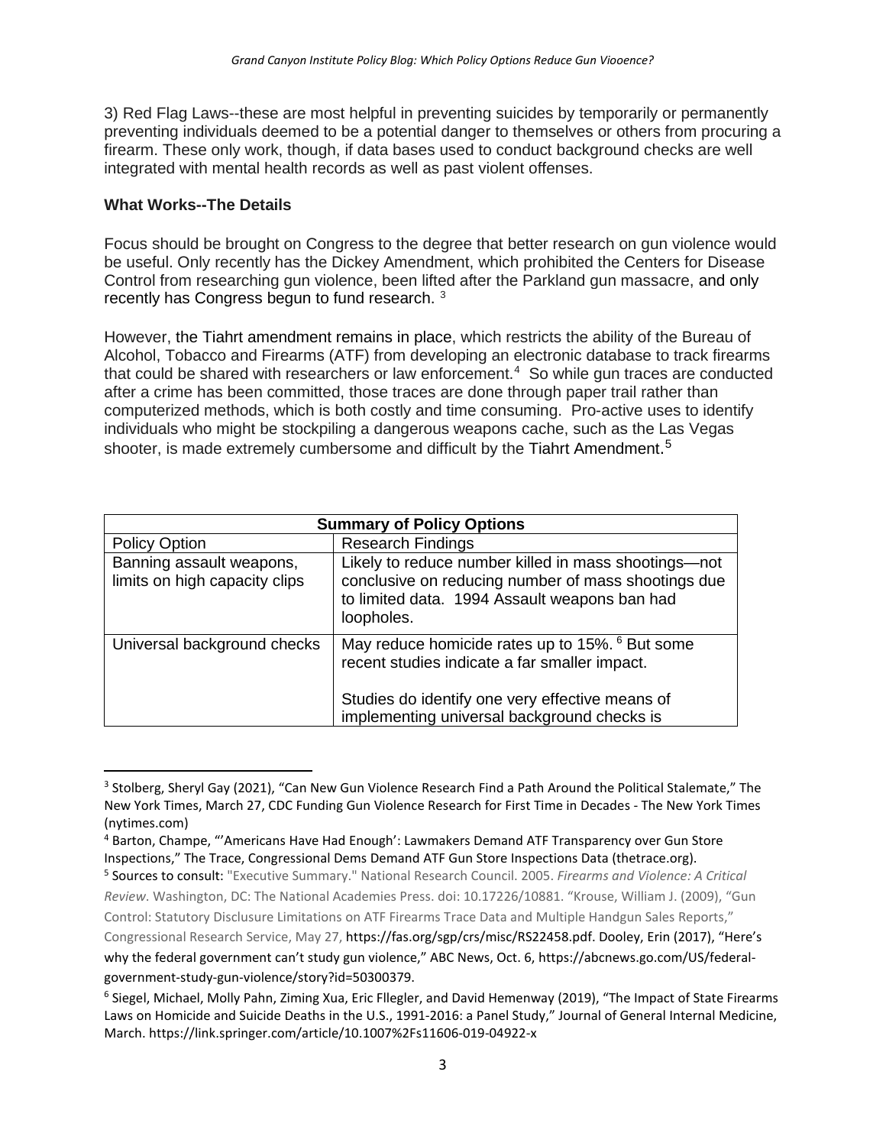3) Red Flag Laws--these are most helpful in preventing suicides by temporarily or permanently preventing individuals deemed to be a potential danger to themselves or others from procuring a firearm. These only work, though, if data bases used to conduct background checks are well integrated with mental health records as well as past violent offenses.

#### **What Works--The Details**

Focus should be brought on Congress to the degree that better research on gun violence would be useful. Only recently has the Dickey Amendment, which prohibited the Centers for Disease Control from researching gun violence, been lifted after the Parkland gun massacre, [and only](https://www.nytimes.com/2021/03/27/us/politics/gun-violence-research-cdc.html)  recently [has Congress begun to fund research.](https://www.nytimes.com/2021/03/27/us/politics/gun-violence-research-cdc.html) [3](#page-2-0)

However, [the Tiahrt amendment remains in place,](https://www.thetrace.org/2022/05/congress-letter-quigley-atf-gun-dealer/) which restricts the ability of the Bureau of Alcohol, Tobacco and Firearms (ATF) from developing an electronic database to track firearms that could be shared with researchers or law enforcement.<sup>[4](#page-2-1)</sup> So while gun traces are conducted after a crime has been committed, those traces are done through paper trail rather than computerized methods, which is both costly and time consuming. Pro-active uses to identify individuals who might be stockpiling a dangerous weapons cache, such as the Las Vegas shooter, is made extremely cumbersome and difficult by the [Tiahrt Amendment.](https://fas.org/sgp/crs/misc/RS22458.pdf)<sup>[5](#page-2-2)</sup>

| <b>Summary of Policy Options</b>                          |                                                                                                                                                                            |
|-----------------------------------------------------------|----------------------------------------------------------------------------------------------------------------------------------------------------------------------------|
| <b>Policy Option</b>                                      | <b>Research Findings</b>                                                                                                                                                   |
| Banning assault weapons,<br>limits on high capacity clips | Likely to reduce number killed in mass shootings-not<br>conclusive on reducing number of mass shootings due<br>to limited data. 1994 Assault weapons ban had<br>loopholes. |
| Universal background checks                               | May reduce homicide rates up to 15%. <sup>6</sup> But some<br>recent studies indicate a far smaller impact.                                                                |
|                                                           | Studies do identify one very effective means of<br>implementing universal background checks is                                                                             |

<span id="page-2-0"></span><sup>&</sup>lt;sup>3</sup> Stolberg, Sheryl Gay (2021), "Can New Gun Violence Research Find a Path Around the Political Stalemate," The New York Times, March 27[, CDC Funding Gun Violence Research for First Time in Decades -](https://www.nytimes.com/2021/03/27/us/politics/gun-violence-research-cdc.html) The New York Times [\(nytimes.com\)](https://www.nytimes.com/2021/03/27/us/politics/gun-violence-research-cdc.html)

<span id="page-2-1"></span><sup>4</sup> Barton, Champe, "'Americans Have Had Enough': Lawmakers Demand ATF Transparency over Gun Store Inspections," The Trace[, Congressional Dems Demand ATF Gun Store Inspections Data \(thetrace.org\).](https://www.thetrace.org/2022/05/congress-letter-quigley-atf-gun-dealer/)

<span id="page-2-2"></span><sup>5</sup> Sources to consult: "Executive Summary." National Research Council. 2005. *Firearms and Violence: A Critical Review*. Washington, DC: The National Academies Press. doi: 10.17226/10881. "Krouse, William J. (2009), "Gun Control: Statutory Disclusure Limitations on ATF Firearms Trace Data and Multiple Handgun Sales Reports,"

Congressional Research Service, May 27, [https://fas.org/sgp/crs/misc/RS22458.pdf.](https://fas.org/sgp/crs/misc/RS22458.pdf) Dooley, Erin (2017), "Here's why the federal government can't study gun violence," ABC News, Oct. 6, [https://abcnews.go.com/US/federal](https://abcnews.go.com/US/federal-government-study-gun-violence/story?id=50300379)[government-study-gun-violence/story?id=50300379.](https://abcnews.go.com/US/federal-government-study-gun-violence/story?id=50300379)

<span id="page-2-3"></span><sup>6</sup> Siegel, Michael, Molly Pahn, Ziming Xua, Eric Fllegler, and David Hemenway (2019), "The Impact of State Firearms Laws on Homicide and Suicide Deaths in the U.S., 1991-2016: a Panel Study," Journal of General Internal Medicine, March. https://link.springer.com/article/10.1007%2Fs11606-019-04922-x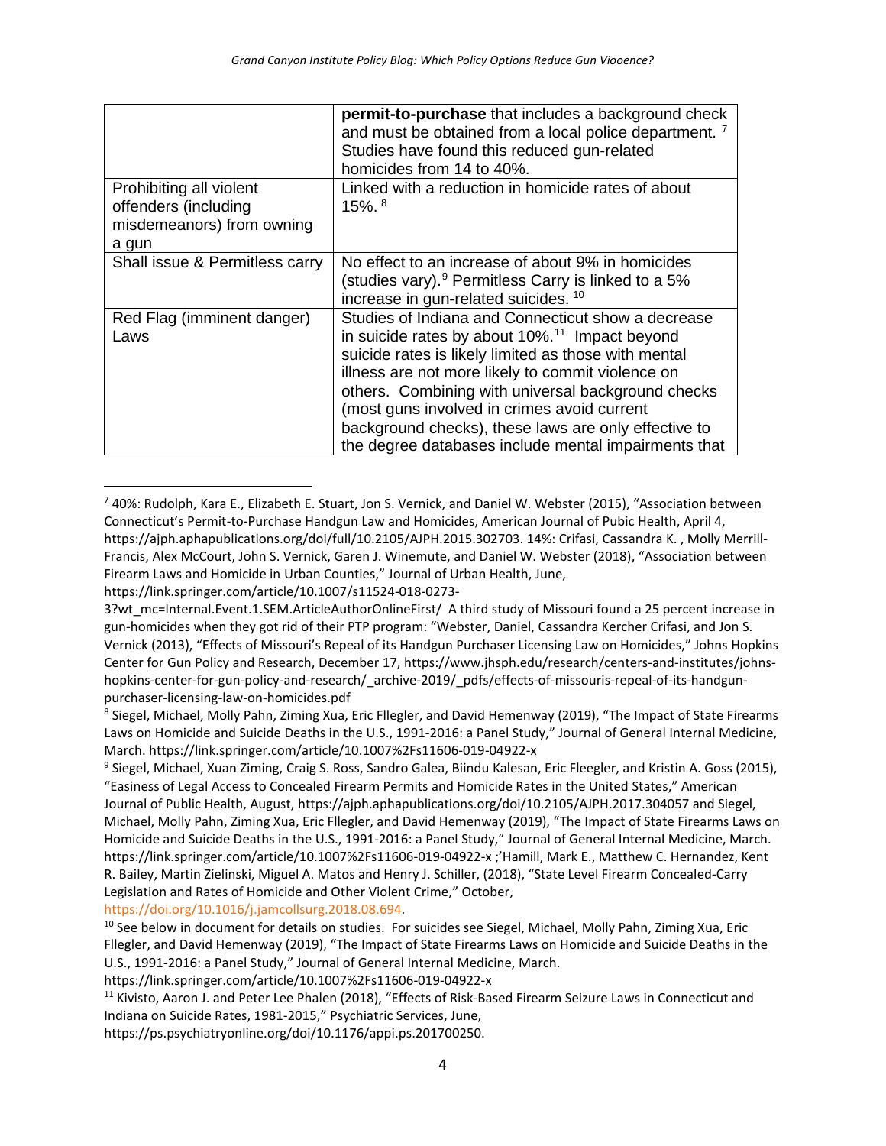|                                                                                       | <b>permit-to-purchase</b> that includes a background check<br>and must be obtained from a local police department. <sup>7</sup><br>Studies have found this reduced gun-related<br>homicides from 14 to 40%.                                                                                                                                                                                                                                        |
|---------------------------------------------------------------------------------------|----------------------------------------------------------------------------------------------------------------------------------------------------------------------------------------------------------------------------------------------------------------------------------------------------------------------------------------------------------------------------------------------------------------------------------------------------|
| Prohibiting all violent<br>offenders (including<br>misdemeanors) from owning<br>a gun | Linked with a reduction in homicide rates of about<br>$15\%$ . $8$                                                                                                                                                                                                                                                                                                                                                                                 |
| Shall issue & Permitless carry                                                        | No effect to an increase of about 9% in homicides<br>(studies vary). $9$ Permitless Carry is linked to a 5%<br>increase in gun-related suicides. 10                                                                                                                                                                                                                                                                                                |
| Red Flag (imminent danger)<br>Laws                                                    | Studies of Indiana and Connecticut show a decrease<br>in suicide rates by about 10%. <sup>11</sup> Impact beyond<br>suicide rates is likely limited as those with mental<br>illness are not more likely to commit violence on<br>others. Combining with universal background checks<br>(most guns involved in crimes avoid current<br>background checks), these laws are only effective to<br>the degree databases include mental impairments that |

<span id="page-3-0"></span><sup>7</sup> 40%: Rudolph, Kara E., Elizabeth E. Stuart, Jon S. Vernick, and Daniel W. Webster (2015), "Association between Connecticut's Permit-to-Purchase Handgun Law and Homicides, American Journal of Pubic Health, April 4, [https://ajph.aphapublications.org/doi/full/10.2105/AJPH.2015.302703.](https://ajph.aphapublications.org/doi/full/10.2105/AJPH.2015.302703) 14%: Crifasi, Cassandra K. , Molly Merrill-Francis, Alex McCourt, John S. Vernick, Garen J. Winemute, and Daniel W. Webster (2018), "Association between Firearm Laws and Homicide in Urban Counties," Journal of Urban Health, June,

[https://link.springer.com/article/10.1007/s11524-018-0273-](https://link.springer.com/article/10.1007/s11524-018-0273-3?wt_mc=Internal.Event.1.SEM.ArticleAuthorOnlineFirst/)

[https://doi.org/10.1016/j.jamcollsurg.2018.08.694.](https://doi-org.ezproxy1.lib.asu.edu/10.1016/j.jamcollsurg.2018.08.694)

[https://ps.psychiatryonline.org/doi/10.1176/appi.ps.201700250.](https://ps.psychiatryonline.org/doi/10.1176/appi.ps.201700250)

[<sup>3?</sup>wt\\_mc=Internal.Event.1.SEM.ArticleAuthorOnlineFirst/](https://link.springer.com/article/10.1007/s11524-018-0273-3?wt_mc=Internal.Event.1.SEM.ArticleAuthorOnlineFirst/) A third study of Missouri found a 25 percent increase in gun-homicides when they got rid of their PTP program: "Webster, Daniel, Cassandra Kercher Crifasi, and Jon S. Vernick (2013), "Effects of Missouri's Repeal of its Handgun Purchaser Licensing Law on Homicides," Johns Hopkins Center for Gun Policy and Research, December 17[, https://www.jhsph.edu/research/centers-and-institutes/johns](https://www.jhsph.edu/research/centers-and-institutes/johns-hopkins-center-for-gun-policy-and-research/_archive-2019/_pdfs/effects-of-missouris-repeal-of-its-handgun-purchaser-licensing-law-on-homicides.pdf)[hopkins-center-for-gun-policy-and-research/\\_archive-2019/\\_pdfs/effects-of-missouris-repeal-of-its-handgun](https://www.jhsph.edu/research/centers-and-institutes/johns-hopkins-center-for-gun-policy-and-research/_archive-2019/_pdfs/effects-of-missouris-repeal-of-its-handgun-purchaser-licensing-law-on-homicides.pdf)[purchaser-licensing-law-on-homicides.pdf](https://www.jhsph.edu/research/centers-and-institutes/johns-hopkins-center-for-gun-policy-and-research/_archive-2019/_pdfs/effects-of-missouris-repeal-of-its-handgun-purchaser-licensing-law-on-homicides.pdf)

<span id="page-3-1"></span><sup>8</sup> Siegel, Michael, Molly Pahn, Ziming Xua, Eric Fllegler, and David Hemenway (2019), "The Impact of State Firearms Laws on Homicide and Suicide Deaths in the U.S., 1991-2016: a Panel Study," Journal of General Internal Medicine, March. https://link.springer.com/article/10.1007%2Fs11606-019-04922-x

<span id="page-3-2"></span><sup>&</sup>lt;sup>9</sup> Siegel, Michael, Xuan Ziming, Craig S. Ross, Sandro Galea, Biindu Kalesan, Eric Fleegler, and Kristin A. Goss (2015), "Easiness of Legal Access to Concealed Firearm Permits and Homicide Rates in the United States," American Journal of Public Health, August,<https://ajph.aphapublications.org/doi/10.2105/AJPH.2017.304057> and Siegel, Michael, Molly Pahn, Ziming Xua, Eric Fllegler, and David Hemenway (2019), "The Impact of State Firearms Laws on Homicide and Suicide Deaths in the U.S., 1991-2016: a Panel Study," Journal of General Internal Medicine, March. <https://link.springer.com/article/10.1007%2Fs11606-019-04922-x> ;'Hamill, Mark E., Matthew C. Hernandez, Kent R. Bailey, Martin Zielinski, Miguel A. Matos and Henry J. Schiller, (2018), "State Level Firearm Concealed-Carry Legislation and Rates of Homicide and Other Violent Crime," October,

<span id="page-3-3"></span><sup>&</sup>lt;sup>10</sup> See below in document for details on studies. For suicides see Siegel, Michael, Molly Pahn, Ziming Xua, Eric Fllegler, and David Hemenway (2019), "The Impact of State Firearms Laws on Homicide and Suicide Deaths in the U.S., 1991-2016: a Panel Study," Journal of General Internal Medicine, March.

https://link.springer.com/article/10.1007%2Fs11606-019-04922-x

<span id="page-3-4"></span><sup>&</sup>lt;sup>11</sup> Kivisto, Aaron J. and Peter Lee Phalen (2018), "Effects of Risk-Based Firearm Seizure Laws in Connecticut and Indiana on Suicide Rates, 1981-2015," Psychiatric Services, June,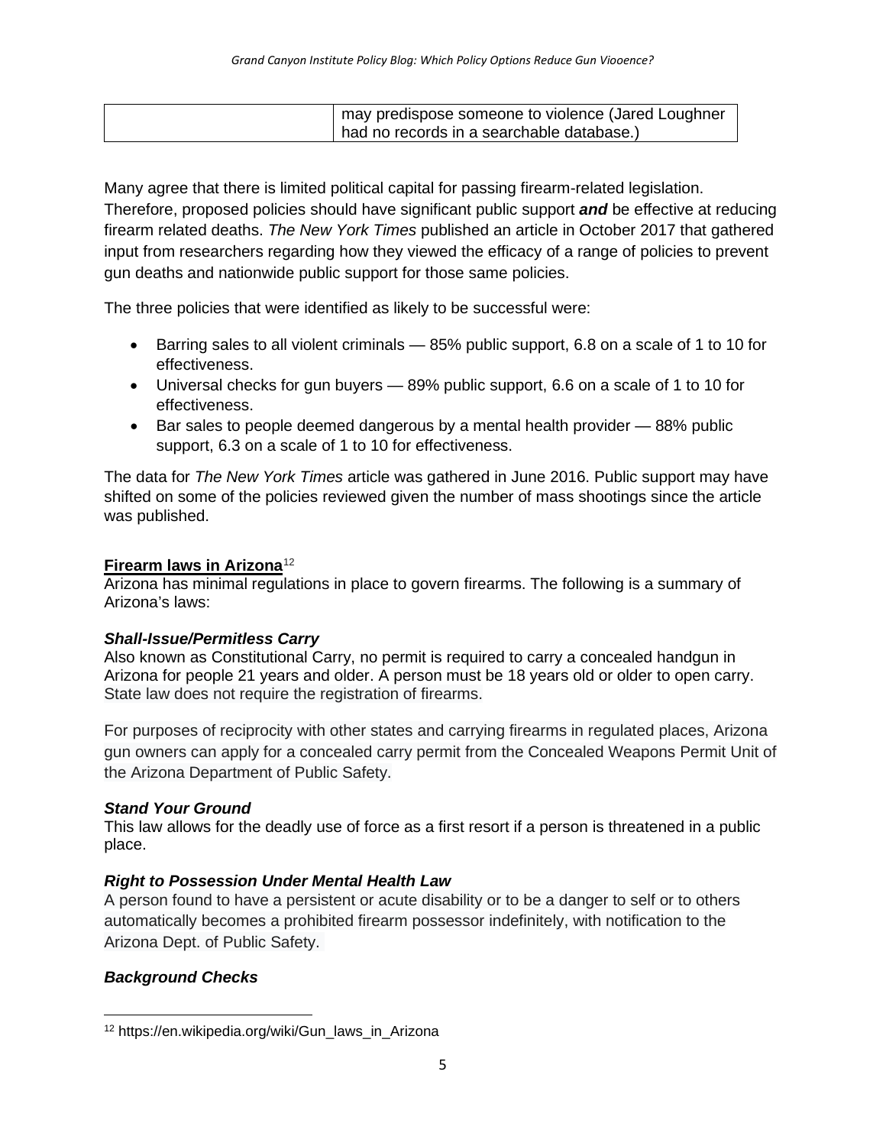| I may predispose someone to violence (Jared Loughner |
|------------------------------------------------------|
| had no records in a searchable database.)            |

Many agree that there is limited political capital for passing firearm-related legislation. Therefore, proposed policies should have significant public support *and* be effective at reducing firearm related deaths. *[The New York Times](https://www.nytimes.com/interactive/2017/10/05/upshot/how-to-reduce-mass-shooting-deaths-experts-say-these-gun-laws-could-help.html)* published an article in October 2017 that gathered input from researchers regarding how they viewed the efficacy of a range of policies to prevent gun deaths and nationwide public support for those same policies.

The three policies that were identified as likely to be successful were:

- Barring sales to all violent criminals 85% public support, 6.8 on a scale of 1 to 10 for effectiveness.
- Universal checks for gun buyers 89% public support, 6.6 on a scale of 1 to 10 for effectiveness.
- Bar sales to people deemed dangerous by a mental health provider 88% public support, 6.3 on a scale of 1 to 10 for effectiveness.

The data for *The New York Times* article was gathered in June 2016. Public support may have shifted on some of the policies reviewed given the number of mass shootings since the article was published.

# **Firearm laws in Arizona**[12](#page-4-0)

Arizona has minimal regulations in place to govern firearms. The following is a summary of Arizona's laws:

## *Shall-Issue/Permitless Carry*

Also known as Constitutional Carry, no permit is required to carry a concealed handgun in Arizona for people 21 years and older. A person must be 18 years old or older to open carry. State law does not require the registration of firearms.

For purposes of reciprocity with other states and carrying firearms in regulated places, Arizona gun owners can apply for a concealed carry permit from the Concealed Weapons Permit Unit of the Arizona Department of Public Safety.

## *Stand Your Ground*

This law allows for the deadly use of force as a first resort if a person is threatened in a public place.

## *Right to Possession Under Mental Health Law*

A person found to have a persistent or acute disability or to be a danger to self or to others automatically becomes a prohibited firearm possessor indefinitely, with notification to the Arizona Dept. of Public Safety.

# *Background Checks*

<span id="page-4-0"></span><sup>&</sup>lt;sup>12</sup> [https://en.wikipedia.org/wiki/Gun\\_laws\\_in\\_Arizona](https://en.wikipedia.org/wiki/Gun_laws_in_Arizona)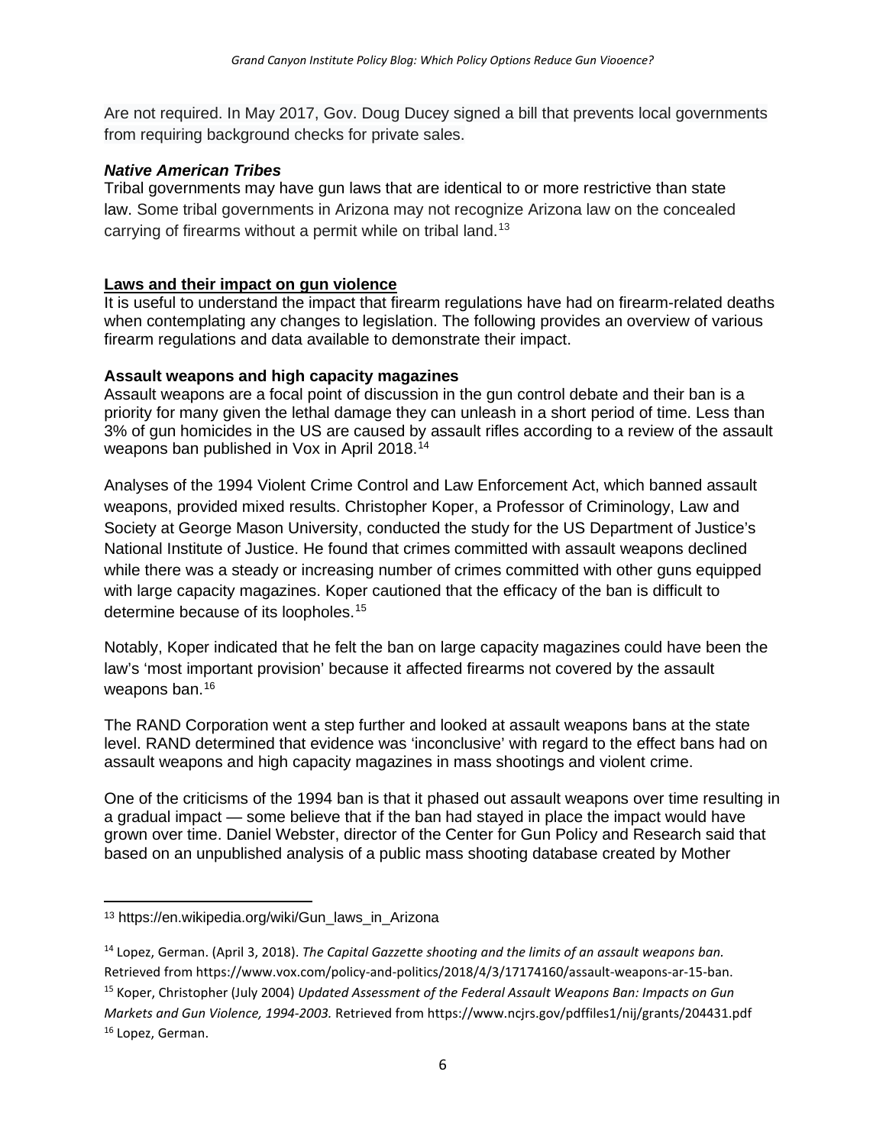Are not required. In May 2017, Gov. Doug Ducey signed a bill that prevents local governments from requiring background checks for private sales.

#### *Native American Tribes*

Tribal governments may have gun laws that are identical to or more restrictive than state law. Some tribal governments in Arizona may not recognize Arizona law on the concealed carrying of firearms without a permit while on tribal land.<sup>[13](#page-5-0)</sup>

#### **Laws and their impact on gun violence**

It is useful to understand the impact that firearm regulations have had on firearm-related deaths when contemplating any changes to legislation. The following provides an overview of various firearm regulations and data available to demonstrate their impact.

#### **Assault weapons and high capacity magazines**

Assault weapons are a focal point of discussion in the gun control debate and their ban is a priority for many given the lethal damage they can unleash in a short period of time. Less than 3% of gun homicides in the US are caused by assault rifles according to a review of the assault weapons ban published in Vox in April 2018.<sup>[14](#page-5-1)</sup>

Analyses of the 1994 Violent Crime Control and Law Enforcement Act, which banned assault weapons, provided mixed results. Christopher Koper, a Professor of Criminology, Law and Society at George Mason University, conducted the study for the US Department of Justice's National Institute of Justice. He found that crimes committed with assault weapons declined while there was a steady or increasing number of crimes committed with other guns equipped with large capacity magazines. Koper cautioned that the efficacy of the ban is difficult to determine because of its loopholes.<sup>[15](#page-5-2)</sup>

Notably, Koper indicated that he felt the ban on large capacity magazines could have been the law's 'most important provision' because it affected firearms not covered by the assault weapons ban.<sup>[16](#page-5-3)</sup>

The RAND Corporation went a step further and looked at assault weapons bans at the state level. RAND determined that evidence was 'inconclusive' with regard to the effect bans had on assault weapons and high capacity magazines in mass shootings and violent crime.

One of the criticisms of the 1994 ban is that it phased out assault weapons over time resulting in a gradual impact — some believe that if the ban had stayed in place the impact would have grown over time. Daniel Webster, director of the Center for Gun Policy and Research said that based on an unpublished analysis of a public mass shooting database created by Mother

<span id="page-5-0"></span><sup>13</sup> [https://en.wikipedia.org/wiki/Gun\\_laws\\_in\\_Arizona](https://en.wikipedia.org/wiki/Gun_laws_in_Arizona)

<span id="page-5-3"></span><span id="page-5-2"></span><span id="page-5-1"></span><sup>14</sup> Lopez, German. (April 3, 2018). *The Capital Gazzette shooting and the limits of an assault weapons ban.* Retrieved fro[m https://www.vox.com/policy-and-politics/2018/4/3/17174160/assault-weapons-ar-15-ban.](https://www.vox.com/policy-and-politics/2018/4/3/17174160/assault-weapons-ar-15-ban)  <sup>15</sup> Koper, Christopher (July 2004) *Updated Assessment of the Federal Assault Weapons Ban: Impacts on Gun Markets and Gun Violence, 1994-2003.* Retrieved fro[m https://www.ncjrs.gov/pdffiles1/nij/grants/204431.pdf](https://www.ncjrs.gov/pdffiles1/nij/grants/204431.pdf) <sup>16</sup> Lopez, German.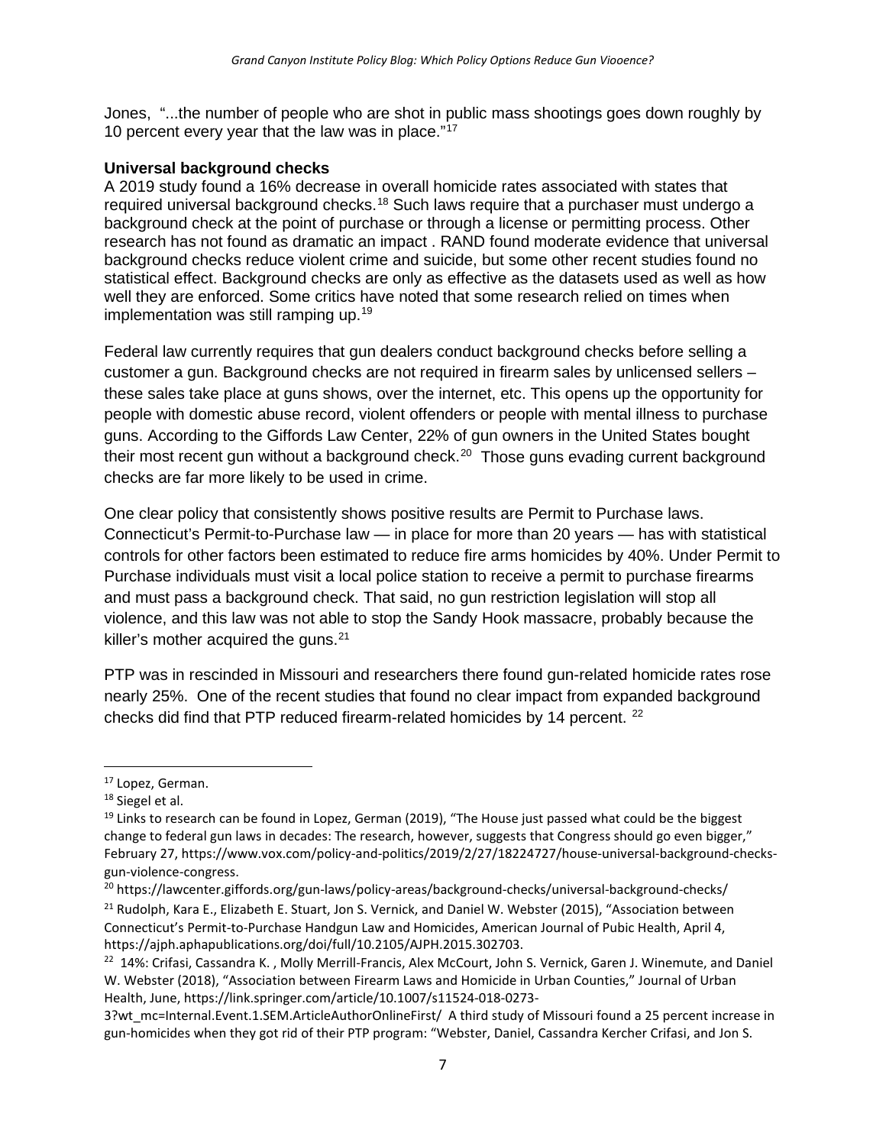Jones, "...the number of people who are shot in public mass shootings goes down roughly by 10 percent every year that the law was in place."<sup>[17](#page-6-0)</sup>

#### **Universal background checks**

A 2019 study found a 16% decrease in overall homicide rates associated with states that required universal background checks.[18](#page-6-1) Such laws require that a purchaser must undergo a background check at the point of purchase or through a license or permitting process. Other research has not found as dramatic an impact . RAND found moderate evidence that universal background checks reduce violent crime and suicide, but some other recent studies found no statistical effect. Background checks are only as effective as the datasets used as well as how well they are enforced. Some critics have noted that some research relied on times when implementation was still ramping up.<sup>[19](#page-6-2)</sup>

Federal law currently requires that gun dealers conduct background checks before selling a customer a gun. Background checks are not required in firearm sales by unlicensed sellers – these sales take place at guns shows, over the internet, etc. This opens up the opportunity for people with domestic abuse record, violent offenders or people with mental illness to purchase guns. According to the Giffords Law Center, 22% of gun owners in the United States bought their most recent gun without a background check.<sup>[20](#page-6-3)</sup> Those guns evading current background checks are far more likely to be used in crime.

One clear policy that consistently shows positive results are Permit to Purchase laws. Connecticut's Permit-to-Purchase law — in place for more than 20 years — has with statistical controls for other factors been estimated to reduce fire arms homicides by 40%. Under Permit to Purchase individuals must visit a local police station to receive a permit to purchase firearms and must pass a background check. That said, no gun restriction legislation will stop all violence, and this law was not able to stop the Sandy Hook massacre, probably because the killer's mother acquired the guns.<sup>[21](#page-6-4)</sup>

PTP was in rescinded in Missouri and researchers there found gun-related homicide rates rose nearly 25%. One of the recent studies that found no clear impact from expanded background checks did find that PTP reduced firearm-related homicides by 14 percent. <sup>[22](#page-6-5)</sup>

<span id="page-6-0"></span> $17$  Lopez, German.<br> $18$  Siegel et al.

<span id="page-6-1"></span>

<span id="page-6-2"></span><sup>&</sup>lt;sup>19</sup> Links to research can be found in Lopez, German (2019), "The House just passed what could be the biggest change to federal gun laws in decades: The research, however, suggests that Congress should go even bigger," February 27[, https://www.vox.com/policy-and-politics/2019/2/27/18224727/house-universal-background-checks](https://www.vox.com/policy-and-politics/2019/2/27/18224727/house-universal-background-checks-gun-violence-congress)[gun-violence-congress.](https://www.vox.com/policy-and-politics/2019/2/27/18224727/house-universal-background-checks-gun-violence-congress)

<span id="page-6-3"></span><sup>&</sup>lt;sup>20</sup> <https://lawcenter.giffords.org/gun-laws/policy-areas/background-checks/universal-background-checks/>

<span id="page-6-4"></span><sup>&</sup>lt;sup>21</sup> Rudolph, Kara E., Elizabeth E. Stuart, Jon S. Vernick, and Daniel W. Webster (2015), "Association between Connecticut's Permit-to-Purchase Handgun Law and Homicides, American Journal of Pubic Health, April 4, [https://ajph.aphapublications.org/doi/full/10.2105/AJPH.2015.302703.](https://ajph.aphapublications.org/doi/full/10.2105/AJPH.2015.302703)

<span id="page-6-5"></span><sup>&</sup>lt;sup>22</sup> 14%: Crifasi, Cassandra K., Molly Merrill-Francis, Alex McCourt, John S. Vernick, Garen J. Winemute, and Daniel W. Webster (2018), "Association between Firearm Laws and Homicide in Urban Counties," Journal of Urban Health, June, [https://link.springer.com/article/10.1007/s11524-018-0273-](https://link.springer.com/article/10.1007/s11524-018-0273-3?wt_mc=Internal.Event.1.SEM.ArticleAuthorOnlineFirst/)

[<sup>3?</sup>wt\\_mc=Internal.Event.1.SEM.ArticleAuthorOnlineFirst/](https://link.springer.com/article/10.1007/s11524-018-0273-3?wt_mc=Internal.Event.1.SEM.ArticleAuthorOnlineFirst/) A third study of Missouri found a 25 percent increase in gun-homicides when they got rid of their PTP program: "Webster, Daniel, Cassandra Kercher Crifasi, and Jon S.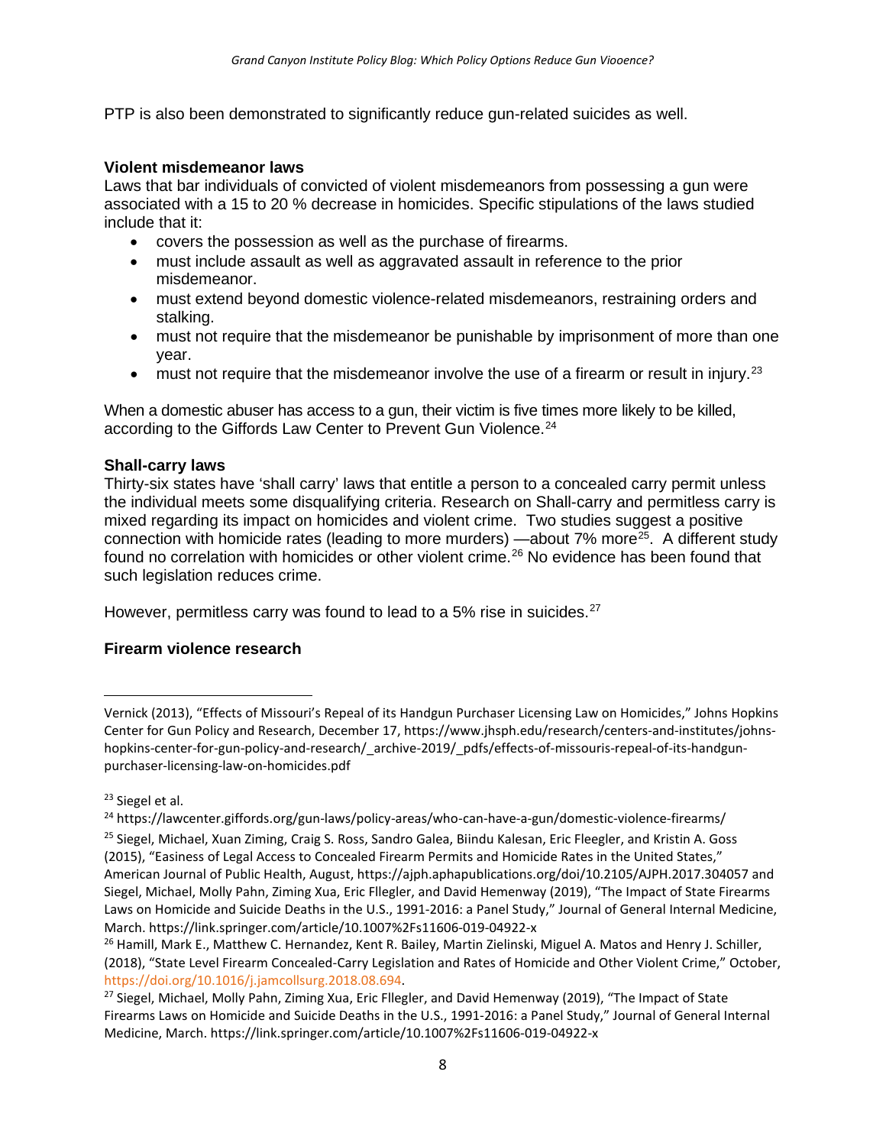PTP is also been demonstrated to significantly reduce gun-related suicides as well.

#### **Violent misdemeanor laws**

Laws that bar individuals of convicted of violent misdemeanors from possessing a gun were associated with a 15 to 20 % decrease in homicides. Specific stipulations of the laws studied include that it:

- covers the possession as well as the purchase of firearms.
- must include assault as well as aggravated assault in reference to the prior misdemeanor.
- must extend beyond domestic violence-related misdemeanors, restraining orders and stalking.
- must not require that the misdemeanor be punishable by imprisonment of more than one year.
- must not require that the misdemeanor involve the use of a firearm or result in injury.<sup>[23](#page-7-0)</sup>

When a domestic abuser has access to a gun, their victim is five times more likely to be killed, according to the Giffords Law Center to Prevent Gun Violence.<sup>[24](#page-7-1)</sup>

#### **Shall-carry laws**

Thirty-six states have 'shall carry' laws that entitle a person to a concealed carry permit unless the individual meets some disqualifying criteria. Research on Shall-carry and permitless carry is mixed regarding its impact on homicides and violent crime. Two studies suggest a positive connection with homicide rates (leading to more murders) —about  $7\%$  more<sup>25</sup>. A different study found no correlation with homicides or other violent crime.<sup>[26](#page-7-3)</sup> No evidence has been found that such legislation reduces crime.

However, permitless carry was found to lead to a 5% rise in suicides.<sup>[27](#page-7-4)</sup>

#### **Firearm violence research**

Vernick (2013), "Effects of Missouri's Repeal of its Handgun Purchaser Licensing Law on Homicides," Johns Hopkins Center for Gun Policy and Research, December 17[, https://www.jhsph.edu/research/centers-and-institutes/johns](https://www.jhsph.edu/research/centers-and-institutes/johns-hopkins-center-for-gun-policy-and-research/_archive-2019/_pdfs/effects-of-missouris-repeal-of-its-handgun-purchaser-licensing-law-on-homicides.pdf)[hopkins-center-for-gun-policy-and-research/\\_archive-2019/\\_pdfs/effects-of-missouris-repeal-of-its-handgun](https://www.jhsph.edu/research/centers-and-institutes/johns-hopkins-center-for-gun-policy-and-research/_archive-2019/_pdfs/effects-of-missouris-repeal-of-its-handgun-purchaser-licensing-law-on-homicides.pdf)[purchaser-licensing-law-on-homicides.pdf](https://www.jhsph.edu/research/centers-and-institutes/johns-hopkins-center-for-gun-policy-and-research/_archive-2019/_pdfs/effects-of-missouris-repeal-of-its-handgun-purchaser-licensing-law-on-homicides.pdf)

<span id="page-7-0"></span><sup>&</sup>lt;sup>23</sup> Siegel et al.

<span id="page-7-2"></span><span id="page-7-1"></span><sup>24</sup> <https://lawcenter.giffords.org/gun-laws/policy-areas/who-can-have-a-gun/domestic-violence-firearms/> <sup>25</sup> Siegel, Michael, Xuan Ziming, Craig S. Ross, Sandro Galea, Biindu Kalesan, Eric Fleegler, and Kristin A. Goss (2015), "Easiness of Legal Access to Concealed Firearm Permits and Homicide Rates in the United States," American Journal of Public Health, August,<https://ajph.aphapublications.org/doi/10.2105/AJPH.2017.304057> and Siegel, Michael, Molly Pahn, Ziming Xua, Eric Fllegler, and David Hemenway (2019), "The Impact of State Firearms Laws on Homicide and Suicide Deaths in the U.S., 1991-2016: a Panel Study," Journal of General Internal Medicine, March. https://link.springer.com/article/10.1007%2Fs11606-019-04922-x

<span id="page-7-3"></span><sup>&</sup>lt;sup>26</sup> Hamill, Mark E., Matthew C. Hernandez, Kent R. Bailey, Martin Zielinski, Miguel A. Matos and Henry J. Schiller, (2018), "State Level Firearm Concealed-Carry Legislation and Rates of Homicide and Other Violent Crime," October, [https://doi.org/10.1016/j.jamcollsurg.2018.08.694.](https://doi-org.ezproxy1.lib.asu.edu/10.1016/j.jamcollsurg.2018.08.694)

<span id="page-7-4"></span><sup>&</sup>lt;sup>27</sup> Siegel, Michael, Molly Pahn, Ziming Xua, Eric Fllegler, and David Hemenway (2019), "The Impact of State Firearms Laws on Homicide and Suicide Deaths in the U.S., 1991-2016: a Panel Study," Journal of General Internal Medicine, March. https://link.springer.com/article/10.1007%2Fs11606-019-04922-x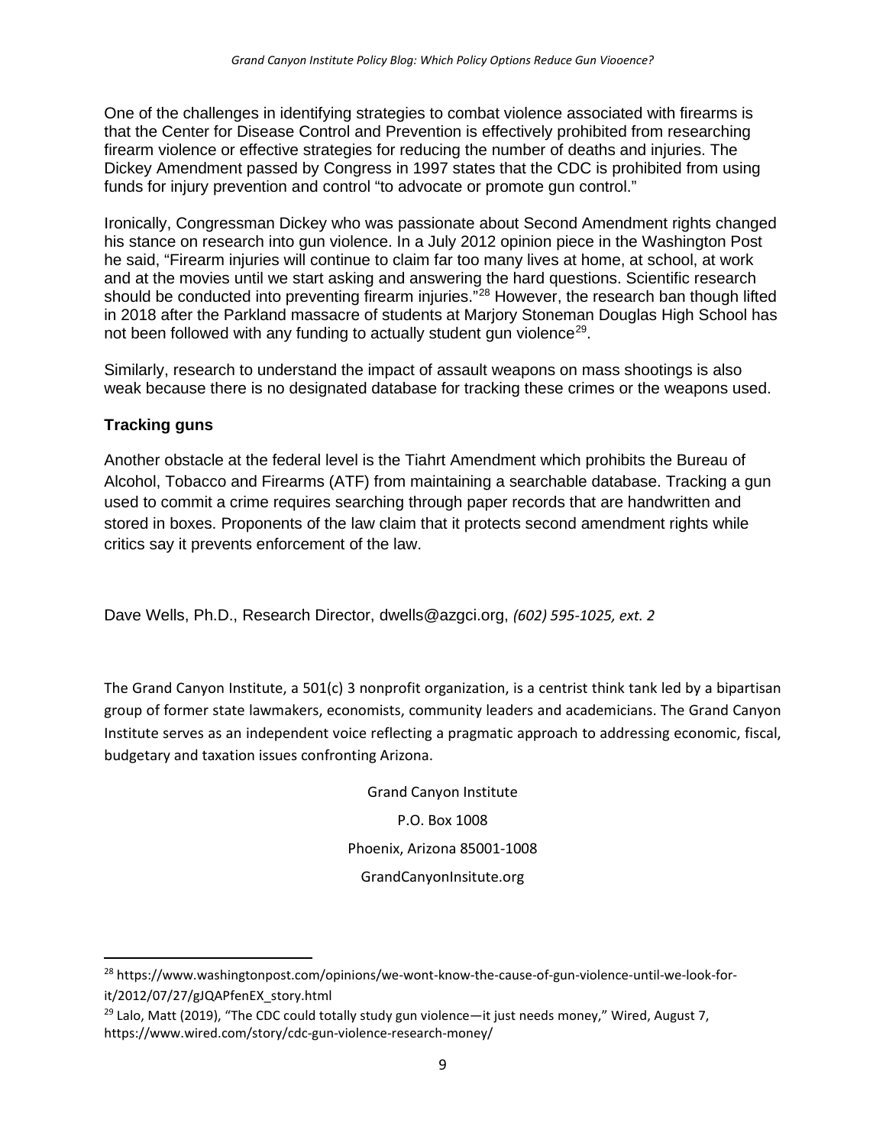One of the challenges in identifying strategies to combat violence associated with firearms is that the Center for Disease Control and Prevention is effectively prohibited from researching firearm violence or effective strategies for reducing the number of deaths and injuries. The Dickey Amendment passed by Congress in 1997 states that the CDC is prohibited from using funds for injury prevention and control "to advocate or promote gun control."

Ironically, Congressman Dickey who was passionate about Second Amendment rights changed his stance on research into gun violence. In a July 2012 opinion piece in the Washington Post he said, "Firearm injuries will continue to claim far too many lives at home, at school, at work and at the movies until we start asking and answering the hard questions. Scientific research should be conducted into preventing firearm injuries."<sup>[28](#page-8-0)</sup> However, the research ban though lifted in 2018 after the Parkland massacre of students at Marjory Stoneman Douglas High School has not been followed with any funding to actually student gun violence<sup>29</sup>.

Similarly, research to understand the impact of assault weapons on mass shootings is also weak because there is no designated database for tracking these crimes or the weapons used.

# **Tracking guns**

Another obstacle at the federal level is the Tiahrt Amendment which prohibits the Bureau of Alcohol, Tobacco and Firearms (ATF) from maintaining a searchable database. Tracking a gun used to commit a crime requires searching through paper records that are handwritten and stored in boxes. Proponents of the law claim that it protects second amendment rights while critics say it prevents enforcement of the law.

Dave Wells, Ph.D., Research Director, [dwells@azgci.org,](mailto:dwells@azgci.org) *(602) 595-1025, ext. 2*

The Grand Canyon Institute, a 501(c) 3 nonprofit organization, is a centrist think tank led by a bipartisan group of former state lawmakers, economists, community leaders and academicians. The Grand Canyon Institute serves as an independent voice reflecting a pragmatic approach to addressing economic, fiscal, budgetary and taxation issues confronting Arizona.

> Grand Canyon Institute P.O. Box 1008 Phoenix, Arizona 85001-1008 [GrandCanyonInsitute.org](http://grandcanyoninstitute.org/)

<span id="page-8-0"></span><sup>&</sup>lt;sup>28</sup> [https://www.washingtonpost.com/opinions/we-wont-know-the-cause-of-gun-violence-until-we-look-for](https://www.washingtonpost.com/opinions/we-wont-know-the-cause-of-gun-violence-until-we-look-for-it/2012/07/27/gJQAPfenEX_story.html)[it/2012/07/27/gJQAPfenEX\\_story.html](https://www.washingtonpost.com/opinions/we-wont-know-the-cause-of-gun-violence-until-we-look-for-it/2012/07/27/gJQAPfenEX_story.html)

<span id="page-8-1"></span> $^{29}$  Lalo, Matt (2019), "The CDC could totally study gun violence—it just needs money," Wired, August 7, <https://www.wired.com/story/cdc-gun-violence-research-money/>